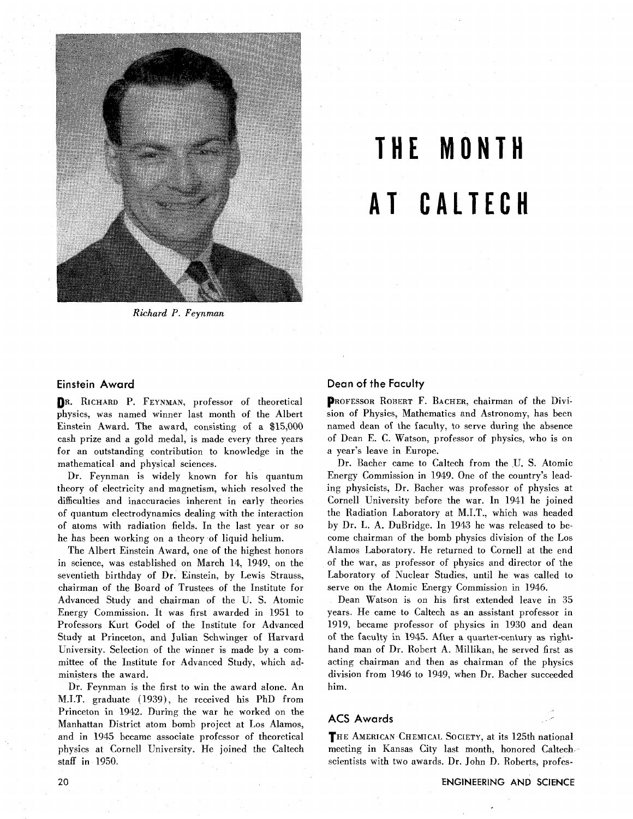

# **THE MONTH AT CALTECH**

*Richard* **P.** *Feynman* 

## **Einstein Award**

DR. RICHARD P. FEYNMAN, professor of theoretical physics, was named winner last month of the Albert Einstein Award. The award, consisting of a \$15,000 cash prize and a gold medal, is made every three years for an outstanding contribution to knowledge in the mathematical and physical sciences.

Dr. Feynman is widely known for his quantum theory of electricity and magnetism, which resolved the difficulties and inaccuracies inherent in early theories of quantum electrodynamics dealing with the interaction of atoms with radiation fields. In the last year or so he has been working on a theory of liquid helium.

The Albert Einstein Award, one of the highest honors in science, was established on March 14, 1949, on the seventieth birthday of Dr. Einstein, by Lewis Strauss, chairman of the Board of Trustees of the Institute for Advanced Study and chairman of the U. S. Atomic Energy Commission. It was first awarded in 1951 to Professors Kurt Godel of the Institute for Advanced Study at Princeton, and Julian Schwinger of Harvard University. Selection of the winner is made by a committee of the Institute for Advanced Study, which administers the award.

Dr. Feynman is the first to win the award alone. An M.I.T. graduate (1939), he received his PhD from Princeton in 1942. During the war he worked on the Manhattan District atom bomb project at Los Alamos, and in 1945 became associate professor of theoretical physics at Cornell University. He joined the Caltech staff in 1950.

## **Dean of the Faculty**

PROFESSOR ROBERT F. BACHER, chairman of the Division of Physics, Mathematics and Astronomy, has been named dean of the faculty, to serve during the absence of Dean E. C. Watson, professor of physics, who is on a year's leave in Europe.

Dr. Bacher came to Caltech from the U. S. Atomic Energy Commission in 1949. One of the country's leading physicists, Dr. Bacher was professor of physics at Cornell University before the war. In 1941 he joined the Radiation Laboratory at M.I.T., which was headed by Dr. L. A. DuBridge. In 1943 he was released to become chairman of the bomb physics division of the Los Alamos Laboratory. He returned to Cornell at the end of the war, as professor of physics and director of the Laboratory of Nuclear Studies, until he was called to serve on the Atomic Energy Commission in 1946.

Dean Watson is on his first extended leave in **35**  years. He came to Caltech as an assistant professor in 1919, became professor of physics in 1930 and dean of the faculty in 1945. After a quarter-century as righthand man of Dr. Robert A. Millikan, he served first as acting chairman and then as chairman of the physics division from 1946 to 1949, when Dr. Bacher succeeded him.

## **ACS Awards** .-

THE AMERICAN CHEMICAL SOCIETY, at its 125th national meeting in Kansas City last month, honored Caltech scientists with two awards. Dr. John D. Roberts, profes